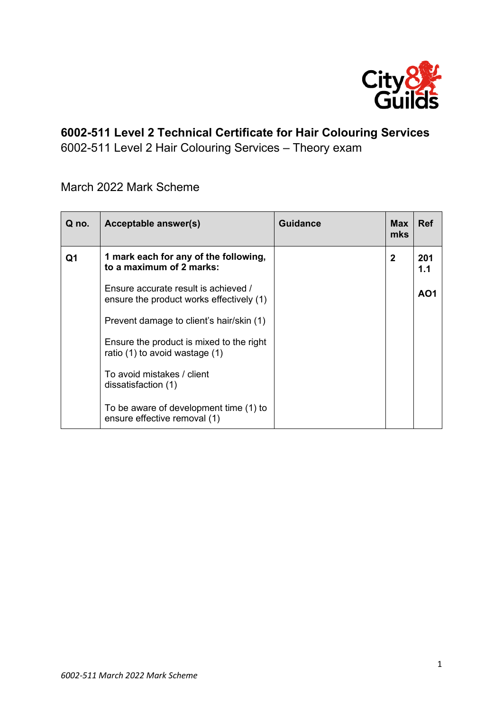

## **6002-511 Level 2 Technical Certificate for Hair Colouring Services**

6002-511 Level 2 Hair Colouring Services – Theory exam

March 2022 Mark Scheme

| Q no. | Acceptable answer(s)                                                             | <b>Guidance</b> | <b>Max</b><br>mks | <b>Ref</b> |
|-------|----------------------------------------------------------------------------------|-----------------|-------------------|------------|
| Q1    | 1 mark each for any of the following,<br>to a maximum of 2 marks:                |                 | $\mathbf{2}$      | 201<br>1.1 |
|       | Ensure accurate result is achieved /<br>ensure the product works effectively (1) |                 |                   | AO1        |
|       | Prevent damage to client's hair/skin (1)                                         |                 |                   |            |
|       | Ensure the product is mixed to the right<br>ratio (1) to avoid wastage (1)       |                 |                   |            |
|       | To avoid mistakes / client<br>dissatisfaction (1)                                |                 |                   |            |
|       | To be aware of development time (1) to<br>ensure effective removal (1)           |                 |                   |            |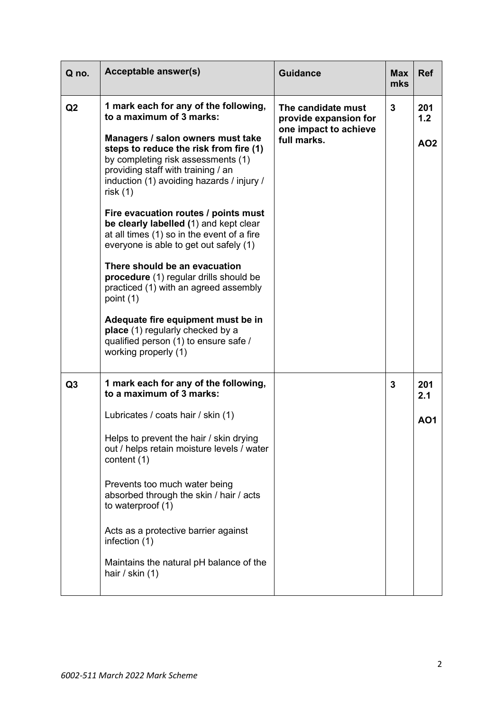| Q no.          | <b>Acceptable answer(s)</b>                                                                                                                                                                                                                                                                                                                                                                                                                                                                                                                                                                                                                                                                                                                | <b>Guidance</b>                                                                     | <b>Max</b><br>mks | <b>Ref</b>                    |
|----------------|--------------------------------------------------------------------------------------------------------------------------------------------------------------------------------------------------------------------------------------------------------------------------------------------------------------------------------------------------------------------------------------------------------------------------------------------------------------------------------------------------------------------------------------------------------------------------------------------------------------------------------------------------------------------------------------------------------------------------------------------|-------------------------------------------------------------------------------------|-------------------|-------------------------------|
| Q2             | 1 mark each for any of the following,<br>to a maximum of 3 marks:<br>Managers / salon owners must take<br>steps to reduce the risk from fire (1)<br>by completing risk assessments (1)<br>providing staff with training / an<br>induction (1) avoiding hazards / injury /<br>risk(1)<br>Fire evacuation routes / points must<br>be clearly labelled (1) and kept clear<br>at all times (1) so in the event of a fire<br>everyone is able to get out safely (1)<br>There should be an evacuation<br>procedure (1) regular drills should be<br>practiced (1) with an agreed assembly<br>point (1)<br>Adequate fire equipment must be in<br>place (1) regularly checked by a<br>qualified person (1) to ensure safe /<br>working properly (1) | The candidate must<br>provide expansion for<br>one impact to achieve<br>full marks. | $\mathbf{3}$      | 201<br>1.2<br>AO <sub>2</sub> |
| Q <sub>3</sub> | 1 mark each for any of the following,<br>to a maximum of 3 marks:<br>Lubricates / coats hair / skin (1)<br>Helps to prevent the hair / skin drving<br>out / helps retain moisture levels / water<br>content (1)<br>Prevents too much water being<br>absorbed through the skin / hair / acts<br>to waterproof (1)<br>Acts as a protective barrier against<br>infection (1)<br>Maintains the natural pH balance of the<br>hair / skin $(1)$                                                                                                                                                                                                                                                                                                  |                                                                                     | 3                 | 201<br>2.1<br><b>AO1</b>      |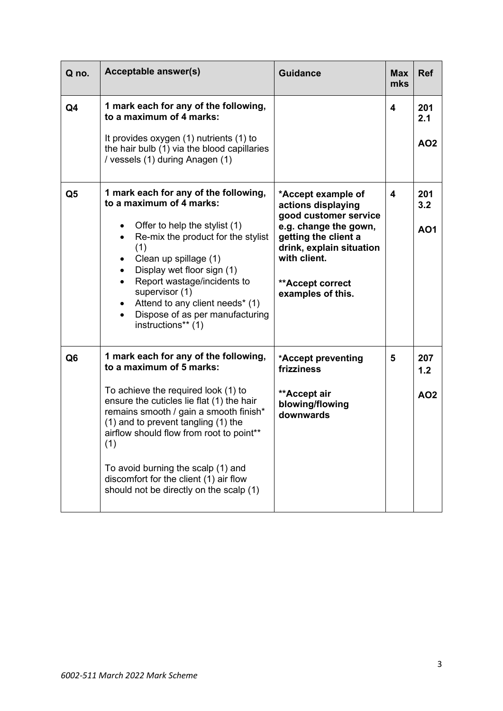| Q no.          | <b>Acceptable answer(s)</b>                                                                                                                                                                                                                                                                                                                                                                                          | <b>Guidance</b>                                                                                                                                                                                         | <b>Max</b><br>mks | <b>Ref</b>                    |
|----------------|----------------------------------------------------------------------------------------------------------------------------------------------------------------------------------------------------------------------------------------------------------------------------------------------------------------------------------------------------------------------------------------------------------------------|---------------------------------------------------------------------------------------------------------------------------------------------------------------------------------------------------------|-------------------|-------------------------------|
| Q4             | 1 mark each for any of the following,<br>to a maximum of 4 marks:<br>It provides oxygen (1) nutrients (1) to<br>the hair bulb (1) via the blood capillaries<br>/ vessels (1) during Anagen (1)                                                                                                                                                                                                                       |                                                                                                                                                                                                         | 4                 | 201<br>2.1<br><b>AO2</b>      |
| Q <sub>5</sub> | 1 mark each for any of the following,<br>to a maximum of 4 marks:<br>Offer to help the stylist (1)<br>٠<br>Re-mix the product for the stylist<br>$\bullet$<br>(1)<br>Clean up spillage (1)<br>Display wet floor sign (1)<br>Report wastage/incidents to<br>supervisor (1)<br>Attend to any client needs* (1)<br>$\bullet$<br>Dispose of as per manufacturing<br>$\bullet$<br>instructions** (1)                      | *Accept example of<br>actions displaying<br>good customer service<br>e.g. change the gown,<br>getting the client a<br>drink, explain situation<br>with client.<br>**Accept correct<br>examples of this. | 4                 | 201<br>3.2<br><b>AO1</b>      |
| Q <sub>6</sub> | 1 mark each for any of the following,<br>to a maximum of 5 marks:<br>To achieve the required look (1) to<br>ensure the cuticles lie flat (1) the hair<br>remains smooth / gain a smooth finish*<br>(1) and to prevent tangling (1) the<br>airflow should flow from root to point**<br>(1)<br>To avoid burning the scalp (1) and<br>discomfort for the client (1) air flow<br>should not be directly on the scalp (1) | *Accept preventing<br>frizziness<br>**Accept air<br>blowing/flowing<br>downwards                                                                                                                        | 5                 | 207<br>1.2<br>AO <sub>2</sub> |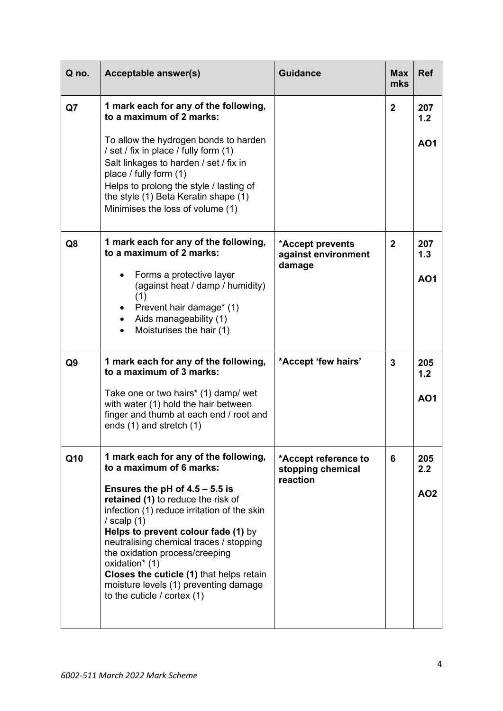| Q no. | <b>Acceptable answer(s)</b>                                                                                                                                                                                                                                                                                                                                                                                                                                                       | <b>Guidance</b>                                       | <b>Max</b><br>mks | <b>Ref</b>                    |
|-------|-----------------------------------------------------------------------------------------------------------------------------------------------------------------------------------------------------------------------------------------------------------------------------------------------------------------------------------------------------------------------------------------------------------------------------------------------------------------------------------|-------------------------------------------------------|-------------------|-------------------------------|
| Q7    | 1 mark each for any of the following,<br>to a maximum of 2 marks:<br>To allow the hydrogen bonds to harden<br>/ set / fix in place / fully form (1)<br>Salt linkages to harden / set / fix in<br>place / fully form (1)<br>Helps to prolong the style / lasting of<br>the style (1) Beta Keratin shape (1)<br>Minimises the loss of volume (1)                                                                                                                                    |                                                       | $\overline{2}$    | 207<br>1.2<br><b>AO1</b>      |
| Q8    | 1 mark each for any of the following,<br>to a maximum of 2 marks:<br>Forms a protective layer<br>$\bullet$<br>(against heat / damp / humidity)<br>(1)<br>Prevent hair damage* (1)<br>Aids manageability (1)<br>$\bullet$<br>Moisturises the hair (1)                                                                                                                                                                                                                              | *Accept prevents<br>against environment<br>damage     | $\overline{2}$    | 207<br>1.3<br><b>AO1</b>      |
| Q9    | 1 mark each for any of the following,<br>to a maximum of 3 marks:<br>Take one or two hairs* (1) damp/ wet<br>with water (1) hold the hair between<br>finger and thumb at each end / root and<br>ends (1) and stretch (1)                                                                                                                                                                                                                                                          | *Accept 'few hairs'                                   | 3                 | 205<br>1.2<br><b>AO1</b>      |
| Q10   | 1 mark each for any of the following,<br>to a maximum of 6 marks:<br>Ensures the pH of $4.5 - 5.5$ is<br>retained (1) to reduce the risk of<br>infection (1) reduce irritation of the skin<br>/ scalp $(1)$<br>Helps to prevent colour fade (1) by<br>neutralising chemical traces / stopping<br>the oxidation process/creeping<br>oxidation <sup>*</sup> (1)<br>Closes the cuticle (1) that helps retain<br>moisture levels (1) preventing damage<br>to the cuticle / cortex (1) | *Accept reference to<br>stopping chemical<br>reaction | 6                 | 205<br>2.2<br>AO <sub>2</sub> |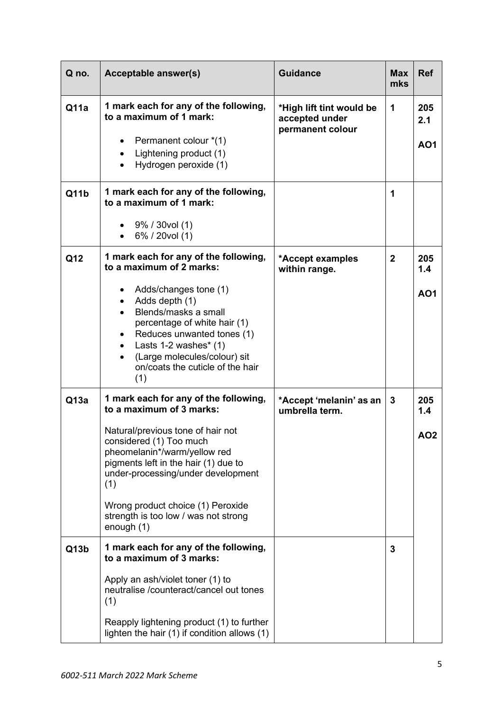| Q no. | <b>Acceptable answer(s)</b>                                                                                                                                                                                                                                                               | <b>Guidance</b>                                                | <b>Max</b><br>mks | <b>Ref</b>               |
|-------|-------------------------------------------------------------------------------------------------------------------------------------------------------------------------------------------------------------------------------------------------------------------------------------------|----------------------------------------------------------------|-------------------|--------------------------|
| Q11a  | 1 mark each for any of the following,<br>to a maximum of 1 mark:<br>Permanent colour *(1)<br>$\bullet$<br>Lightening product (1)<br>$\bullet$<br>Hydrogen peroxide (1)<br>$\bullet$                                                                                                       | *High lift tint would be<br>accepted under<br>permanent colour | 1                 | 205<br>2.1<br><b>AO1</b> |
| Q11b  | 1 mark each for any of the following,<br>to a maximum of 1 mark:<br>$9\%$ / 30vol (1)                                                                                                                                                                                                     |                                                                | 1                 |                          |
|       | 6% / 20vol (1)<br>$\bullet$                                                                                                                                                                                                                                                               |                                                                |                   |                          |
| Q12   | 1 mark each for any of the following,<br>to a maximum of 2 marks:                                                                                                                                                                                                                         | *Accept examples<br>within range.                              | $\mathbf 2$       | 205<br>1.4               |
|       | Adds/changes tone (1)<br>Adds depth (1)<br>$\bullet$<br>Blends/masks a small<br>percentage of white hair (1)<br>Reduces unwanted tones (1)<br>$\bullet$<br>Lasts $1-2$ washes* $(1)$<br>$\bullet$<br>(Large molecules/colour) sit<br>$\bullet$<br>on/coats the cuticle of the hair<br>(1) |                                                                |                   | <b>AO1</b>               |
| Q13a  | 1 mark each for any of the following,<br>to a maximum of 3 marks:                                                                                                                                                                                                                         | *Accept 'melanin' as an<br>umbrella term.                      | 3                 | 205<br>1.4               |
|       | Natural/previous tone of hair not<br>considered (1) Too much<br>pheomelanin*/warm/yellow red<br>pigments left in the hair (1) due to<br>under-processing/under development<br>(1)<br>Wrong product choice (1) Peroxide                                                                    |                                                                |                   | <b>AO2</b>               |
|       | strength is too low / was not strong<br>enough (1)                                                                                                                                                                                                                                        |                                                                |                   |                          |
| Q13b  | 1 mark each for any of the following,<br>to a maximum of 3 marks:                                                                                                                                                                                                                         |                                                                | 3                 |                          |
|       | Apply an ash/violet toner (1) to<br>neutralise /counteract/cancel out tones<br>(1)                                                                                                                                                                                                        |                                                                |                   |                          |
|       | Reapply lightening product (1) to further<br>lighten the hair (1) if condition allows (1)                                                                                                                                                                                                 |                                                                |                   |                          |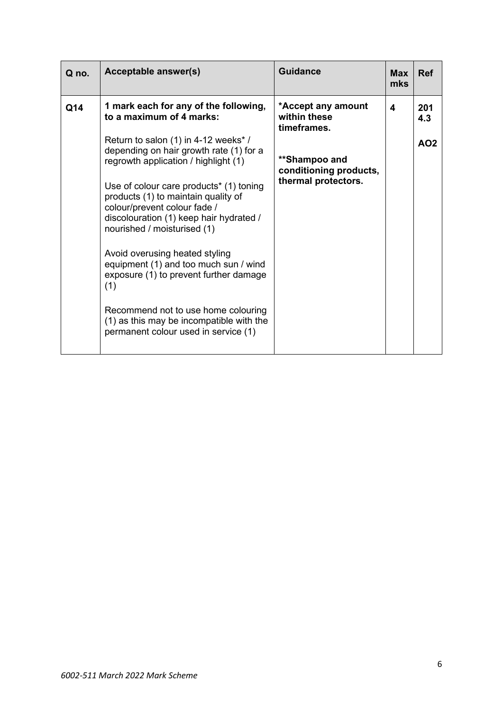| Q no. | <b>Acceptable answer(s)</b>                                                                                                                                                                          | <b>Guidance</b>                                   | <b>Max</b><br>mks | <b>Ref</b>      |
|-------|------------------------------------------------------------------------------------------------------------------------------------------------------------------------------------------------------|---------------------------------------------------|-------------------|-----------------|
| Q14   | 1 mark each for any of the following,<br>to a maximum of 4 marks:                                                                                                                                    | *Accept any amount<br>within these<br>timeframes. | 4                 | 201<br>4.3      |
|       | Return to salon (1) in 4-12 weeks*/<br>depending on hair growth rate (1) for a<br>regrowth application / highlight (1)                                                                               | **Shampoo and<br>conditioning products,           |                   | AO <sub>2</sub> |
|       | Use of colour care products <sup>*</sup> (1) toning<br>products (1) to maintain quality of<br>colour/prevent colour fade /<br>discolouration (1) keep hair hydrated /<br>nourished / moisturised (1) | thermal protectors.                               |                   |                 |
|       | Avoid overusing heated styling<br>equipment (1) and too much sun / wind<br>exposure (1) to prevent further damage<br>(1)                                                                             |                                                   |                   |                 |
|       | Recommend not to use home colouring<br>(1) as this may be incompatible with the<br>permanent colour used in service (1)                                                                              |                                                   |                   |                 |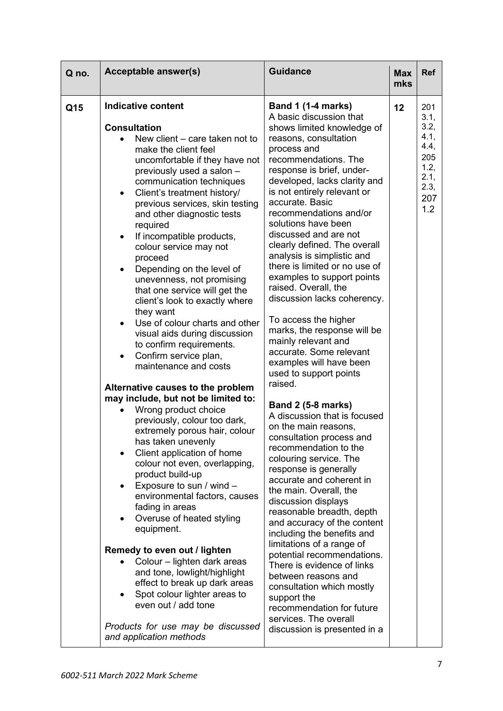| Q no. | <b>Acceptable answer(s)</b>                                                                                                                                                                                                                                                                                                                                                                                                                                                                                                                                                                                                                                                                                                                                                                                                                                                                                                                                                                                                                                                                                                                                                                                                                                                                                                                                                        | <b>Guidance</b>                                                                                                                                                                                                                                                                                                                                                                                                                                                                                                                                                                                                                                                                                                                                                                                                                                                                                                                                                                                                                                                                                                                                                                                                                                                                                                                | <b>Max</b><br>mks | <b>Ref</b>                                                                       |
|-------|------------------------------------------------------------------------------------------------------------------------------------------------------------------------------------------------------------------------------------------------------------------------------------------------------------------------------------------------------------------------------------------------------------------------------------------------------------------------------------------------------------------------------------------------------------------------------------------------------------------------------------------------------------------------------------------------------------------------------------------------------------------------------------------------------------------------------------------------------------------------------------------------------------------------------------------------------------------------------------------------------------------------------------------------------------------------------------------------------------------------------------------------------------------------------------------------------------------------------------------------------------------------------------------------------------------------------------------------------------------------------------|--------------------------------------------------------------------------------------------------------------------------------------------------------------------------------------------------------------------------------------------------------------------------------------------------------------------------------------------------------------------------------------------------------------------------------------------------------------------------------------------------------------------------------------------------------------------------------------------------------------------------------------------------------------------------------------------------------------------------------------------------------------------------------------------------------------------------------------------------------------------------------------------------------------------------------------------------------------------------------------------------------------------------------------------------------------------------------------------------------------------------------------------------------------------------------------------------------------------------------------------------------------------------------------------------------------------------------|-------------------|----------------------------------------------------------------------------------|
| Q15   | <b>Indicative content</b><br><b>Consultation</b><br>New client – care taken not to<br>make the client feel<br>uncomfortable if they have not<br>previously used a salon -<br>communication techniques<br>Client's treatment history/<br>$\bullet$<br>previous services, skin testing<br>and other diagnostic tests<br>required<br>If incompatible products,<br>٠<br>colour service may not<br>proceed<br>Depending on the level of<br>$\bullet$<br>unevenness, not promising<br>that one service will get the<br>client's look to exactly where<br>they want<br>Use of colour charts and other<br>visual aids during discussion<br>to confirm requirements.<br>Confirm service plan,<br>maintenance and costs<br>Alternative causes to the problem<br>may include, but not be limited to:<br>Wrong product choice<br>previously, colour too dark,<br>extremely porous hair, colour<br>has taken unevenly<br>Client application of home<br>colour not even, overlapping,<br>product build-up<br>Exposure to sun / wind -<br>٠<br>environmental factors, causes<br>fading in areas<br>Overuse of heated styling<br>equipment.<br>Remedy to even out / lighten<br>Colour - lighten dark areas<br>and tone, lowlight/highlight<br>effect to break up dark areas<br>Spot colour lighter areas to<br>even out / add tone<br>Products for use may be discussed<br>and application methods | <b>Band 1 (1-4 marks)</b><br>A basic discussion that<br>shows limited knowledge of<br>reasons, consultation<br>process and<br>recommendations. The<br>response is brief, under-<br>developed, lacks clarity and<br>is not entirely relevant or<br>accurate. Basic<br>recommendations and/or<br>solutions have been<br>discussed and are not<br>clearly defined. The overall<br>analysis is simplistic and<br>there is limited or no use of<br>examples to support points<br>raised. Overall, the<br>discussion lacks coherency.<br>To access the higher<br>marks, the response will be<br>mainly relevant and<br>accurate. Some relevant<br>examples will have been<br>used to support points<br>raised.<br><b>Band 2 (5-8 marks)</b><br>A discussion that is focused<br>on the main reasons,<br>consultation process and<br>recommendation to the<br>colouring service. The<br>response is generally<br>accurate and coherent in<br>the main. Overall, the<br>discussion displays<br>reasonable breadth, depth<br>and accuracy of the content<br>including the benefits and<br>limitations of a range of<br>potential recommendations.<br>There is evidence of links<br>between reasons and<br>consultation which mostly<br>support the<br>recommendation for future<br>services. The overall<br>discussion is presented in a | 12                | 201<br>3.1,<br>3.2,<br>4.1,<br>4.4,<br>205<br>1.2,<br>2.1,<br>2.3,<br>207<br>1.2 |